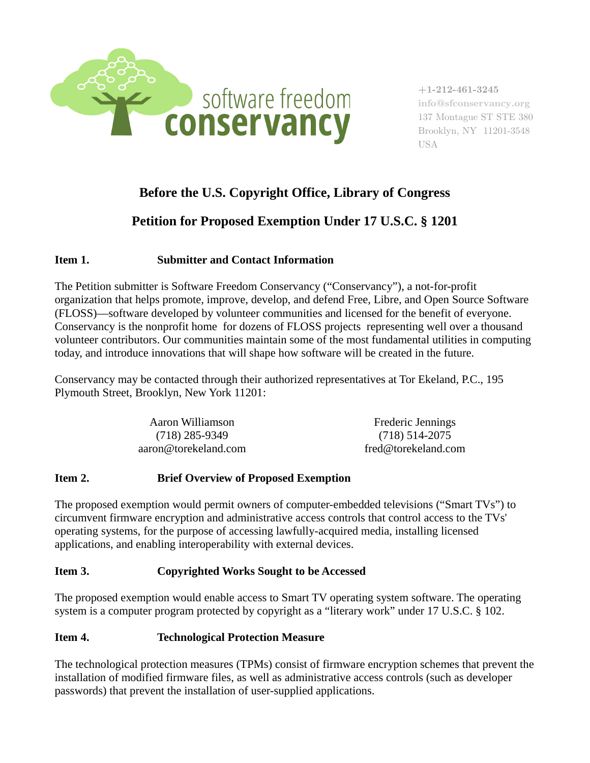

**+1-212-461-3245 info@sfconservancy.org** 137 Montague ST STE 380 Brooklyn, NY 11201-3548 USA

## **Before the U.S. Copyright Office, Library of Congress**

# **Petition for Proposed Exemption Under 17 U.S.C. § 1201**

## **Item 1. Submitter and Contact Information**

The Petition submitter is Software Freedom Conservancy ("Conservancy"), a not-for-profit organization that helps promote, improve, develop, and defend Free, Libre, and Open Source Software (FLOSS)—software developed by volunteer communities and licensed for the benefit of everyone. Conservancy is the nonprofit home for dozens of FLOSS projects representing well over a thousand volunteer contributors. Our communities maintain some of the most fundamental utilities in computing today, and introduce innovations that will shape how software will be created in the future.

Conservancy may be contacted through their authorized representatives at Tor Ekeland, P.C., 195 Plymouth Street, Brooklyn, New York 11201:

| Aaron Williamson     | <b>Frederic Jennings</b> |
|----------------------|--------------------------|
| (718) 285-9349       | (718) 514-2075           |
| aaron@torekeland.com | fred@torekeland.com      |

#### **Item 2. Brief Overview of Proposed Exemption**

The proposed exemption would permit owners of computer-embedded televisions ("Smart TVs") to circumvent firmware encryption and administrative access controls that control access to the TVs' operating systems, for the purpose of accessing lawfully-acquired media, installing licensed applications, and enabling interoperability with external devices.

#### **Item 3. Copyrighted Works Sought to be Accessed**

The proposed exemption would enable access to Smart TV operating system software. The operating system is a computer program protected by copyright as a "literary work" under 17 U.S.C. § 102.

#### **Item 4. Technological Protection Measure**

The technological protection measures (TPMs) consist of firmware encryption schemes that prevent the installation of modified firmware files, as well as administrative access controls (such as developer passwords) that prevent the installation of user-supplied applications.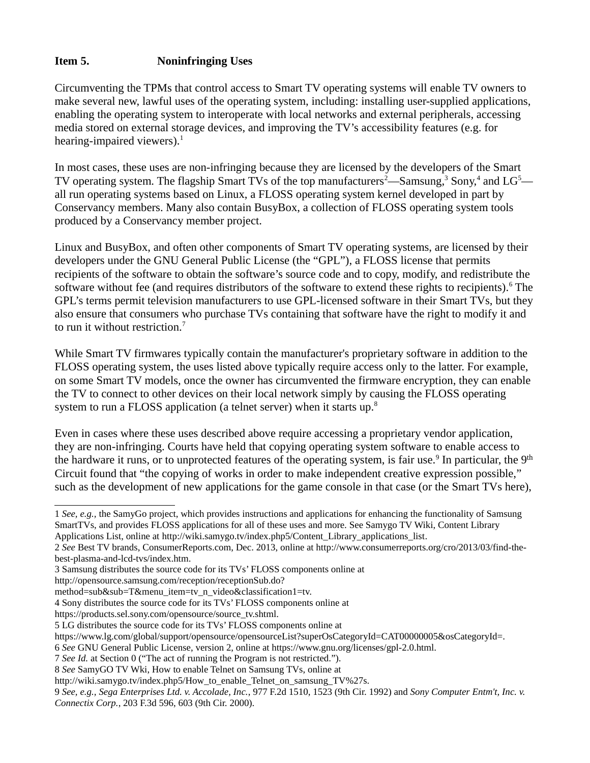### **Item 5. Noninfringing Uses**

Circumventing the TPMs that control access to Smart TV operating systems will enable TV owners to make several new, lawful uses of the operating system, including: installing user-supplied applications, enabling the operating system to interoperate with local networks and external peripherals, accessing media stored on external storage devices, and improving the TV's accessibility features (e.g. for hearing-impaired viewers). $<sup>1</sup>$  $<sup>1</sup>$  $<sup>1</sup>$ </sup>

In most cases, these uses are non-infringing because they are licensed by the developers of the Smart TV operating system. The flagship Smart TVs of the top manufacturers<sup>[2](#page-1-1)</sup>—Samsung,<sup>[3](#page-1-2)</sup> Sony,<sup>[4](#page-1-3)</sup> and LG<sup>[5](#page-1-4)</sup> all run operating systems based on Linux, a FLOSS operating system kernel developed in part by Conservancy members. Many also contain BusyBox, a collection of FLOSS operating system tools produced by a Conservancy member project.

Linux and BusyBox, and often other components of Smart TV operating systems, are licensed by their developers under the GNU General Public License (the "GPL"), a FLOSS license that permits recipients of the software to obtain the software's source code and to copy, modify, and redistribute the software without fee (and requires distributors of the software to extend these rights to recipients). <sup>[6](#page-1-5)</sup> The GPL's terms permit television manufacturers to use GPL-licensed software in their Smart TVs, but they also ensure that consumers who purchase TVs containing that software have the right to modify it and to run it without restriction. $<sup>7</sup>$  $<sup>7</sup>$  $<sup>7</sup>$ </sup>

While Smart TV firmwares typically contain the manufacturer's proprietary software in addition to the FLOSS operating system, the uses listed above typically require access only to the latter. For example, on some Smart TV models, once the owner has circumvented the firmware encryption, they can enable the TV to connect to other devices on their local network simply by causing the FLOSS operating system to run a FLOSS application (a telnet server) when it starts up.<sup>[8](#page-1-7)</sup>

Even in cases where these uses described above require accessing a proprietary vendor application, they are non-infringing. Courts have held that copying operating system software to enable access to the hardware it runs, or to unprotected features of the operating system, is fair use.<sup>[9](#page-1-8)</sup> In particular, the 9<sup>th</sup> Circuit found that "the copying of works in order to make independent creative expression possible," such as the development of new applications for the game console in that case (or the Smart TVs here),

<span id="page-1-0"></span><sup>1</sup> *See, e.g.,* the SamyGo project, which provides instructions and applications for enhancing the functionality of Samsung SmartTVs, and provides FLOSS applications for all of these uses and more. See Samygo TV Wiki, Content Library Applications List, online at http://wiki.samygo.tv/index.php5/Content\_Library\_applications\_list.

<span id="page-1-1"></span><sup>2</sup> *See* Best TV brands, ConsumerReports.com, Dec. 2013, online at http://www.consumerreports.org/cro/2013/03/find-thebest-plasma-and-lcd-tvs/index.htm.

<span id="page-1-2"></span><sup>3</sup> Samsung distributes the source code for its TVs' FLOSS components online at

http://opensource.samsung.com/reception/receptionSub.do?

method=sub&sub=T&menu\_item=tv\_n\_video&classification1=tv.

<span id="page-1-3"></span><sup>4</sup> Sony distributes the source code for its TVs' FLOSS components online at

https://products.sel.sony.com/opensource/source\_tv.shtml.

<span id="page-1-4"></span><sup>5</sup> LG distributes the source code for its TVs' FLOSS components online at

https://www.lg.com/global/support/opensource/opensourceList?superOsCategoryId=CAT00000005&osCategoryId=.

<span id="page-1-5"></span><sup>6</sup> *See* GNU General Public License, version 2, online at https://www.gnu.org/licenses/gpl-2.0.html.

<span id="page-1-6"></span><sup>7</sup> *See Id.* at Section 0 ("The act of running the Program is not restricted.").

<span id="page-1-7"></span><sup>8</sup> *See* SamyGO TV Wki, How to enable Telnet on Samsung TVs, online at

http://wiki.samygo.tv/index.php5/How\_to\_enable\_Telnet\_on\_samsung\_TV%27s.

<span id="page-1-8"></span><sup>9</sup> *See, e.g., Sega Enterprises Ltd. v. Accolade, Inc.*, 977 F.2d 1510, 1523 (9th Cir. 1992) and *Sony Computer Entm't, Inc. v. Connectix Corp.*, 203 F.3d 596, 603 (9th Cir. 2000).